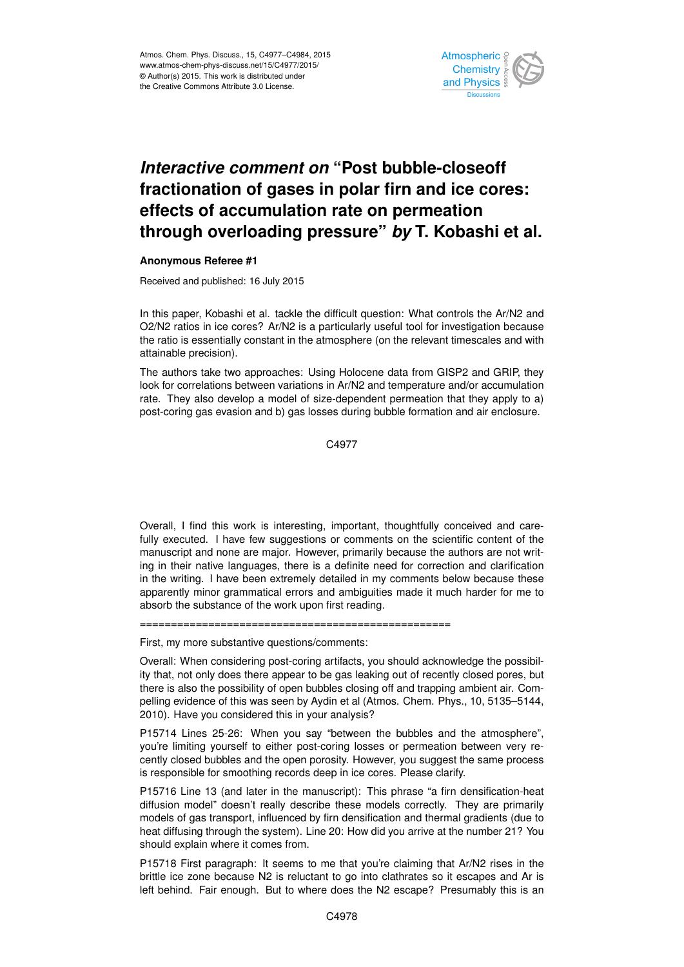

## *Interactive comment on* **"Post bubble-closeoff fractionation of gases in polar firn and ice cores: effects of accumulation rate on permeation through overloading pressure"** *by* **T. Kobashi et al.**

## **Anonymous Referee #1**

Received and published: 16 July 2015

In this paper, Kobashi et al. tackle the difficult question: What controls the Ar/N2 and O2/N2 ratios in ice cores? Ar/N2 is a particularly useful tool for investigation because the ratio is essentially constant in the atmosphere (on the relevant timescales and with attainable precision).

The authors take two approaches: Using Holocene data from GISP2 and GRIP, they look for correlations between variations in Ar/N2 and temperature and/or accumulation rate. They also develop a model of size-dependent permeation that they apply to a) post-coring gas evasion and b) gas losses during bubble formation and air enclosure.

C4977

Overall, I find this work is interesting, important, thoughtfully conceived and carefully executed. I have few suggestions or comments on the scientific content of the manuscript and none are major. However, primarily because the authors are not writing in their native languages, there is a definite need for correction and clarification in the writing. I have been extremely detailed in my comments below because these apparently minor grammatical errors and ambiguities made it much harder for me to absorb the substance of the work upon first reading.

==================================================

First, my more substantive questions/comments:

Overall: When considering post-coring artifacts, you should acknowledge the possibility that, not only does there appear to be gas leaking out of recently closed pores, but there is also the possibility of open bubbles closing off and trapping ambient air. Compelling evidence of this was seen by Aydin et al (Atmos. Chem. Phys., 10, 5135–5144, 2010). Have you considered this in your analysis?

P15714 Lines 25-26: When you say "between the bubbles and the atmosphere", you're limiting yourself to either post-coring losses or permeation between very recently closed bubbles and the open porosity. However, you suggest the same process is responsible for smoothing records deep in ice cores. Please clarify.

P15716 Line 13 (and later in the manuscript): This phrase "a firn densification-heat diffusion model" doesn't really describe these models correctly. They are primarily models of gas transport, influenced by firn densification and thermal gradients (due to heat diffusing through the system). Line 20: How did you arrive at the number 21? You should explain where it comes from.

P15718 First paragraph: It seems to me that you're claiming that Ar/N2 rises in the brittle ice zone because N2 is reluctant to go into clathrates so it escapes and Ar is left behind. Fair enough. But to where does the N2 escape? Presumably this is an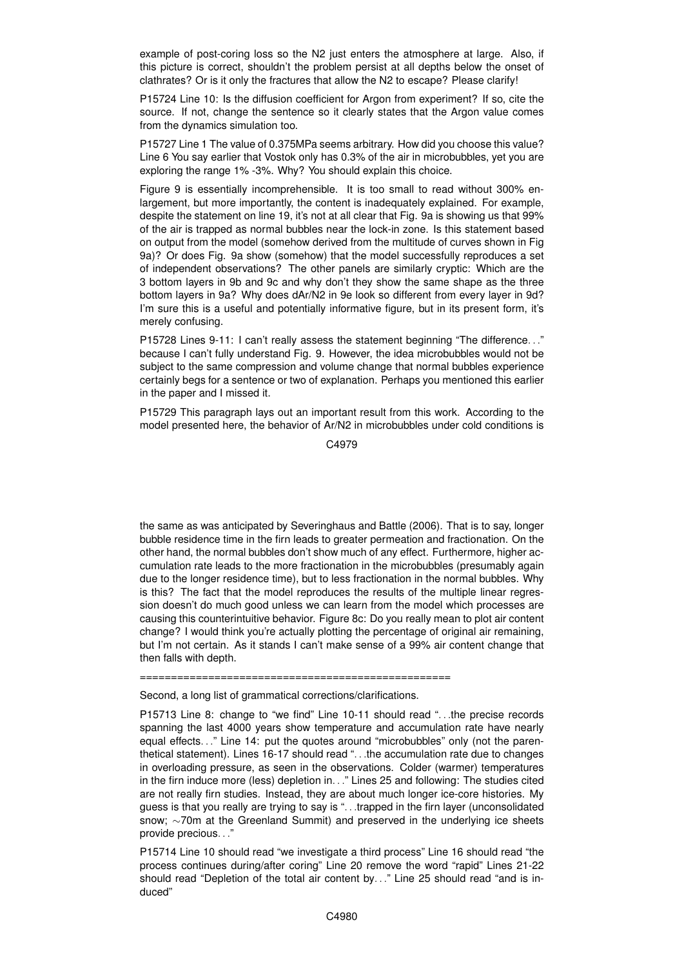example of post-coring loss so the N2 just enters the atmosphere at large. Also, if this picture is correct, shouldn't the problem persist at all depths below the onset of clathrates? Or is it only the fractures that allow the N2 to escape? Please clarify!

P15724 Line 10: Is the diffusion coefficient for Argon from experiment? If so, cite the source. If not, change the sentence so it clearly states that the Argon value comes from the dynamics simulation too.

P15727 Line 1 The value of 0.375MPa seems arbitrary. How did you choose this value? Line 6 You say earlier that Vostok only has 0.3% of the air in microbubbles, yet you are exploring the range 1% -3%. Why? You should explain this choice.

Figure 9 is essentially incomprehensible. It is too small to read without 300% enlargement, but more importantly, the content is inadequately explained. For example, despite the statement on line 19, it's not at all clear that Fig. 9a is showing us that 99% of the air is trapped as normal bubbles near the lock-in zone. Is this statement based on output from the model (somehow derived from the multitude of curves shown in Fig 9a)? Or does Fig. 9a show (somehow) that the model successfully reproduces a set of independent observations? The other panels are similarly cryptic: Which are the 3 bottom layers in 9b and 9c and why don't they show the same shape as the three bottom layers in 9a? Why does dAr/N2 in 9e look so different from every layer in 9d? I'm sure this is a useful and potentially informative figure, but in its present form, it's merely confusing.

P15728 Lines 9-11: I can't really assess the statement beginning "The difference. . ." because I can't fully understand Fig. 9. However, the idea microbubbles would not be subject to the same compression and volume change that normal bubbles experience certainly begs for a sentence or two of explanation. Perhaps you mentioned this earlier in the paper and I missed it.

P15729 This paragraph lays out an important result from this work. According to the model presented here, the behavior of Ar/N2 in microbubbles under cold conditions is

C4979

the same as was anticipated by Severinghaus and Battle (2006). That is to say, longer bubble residence time in the firn leads to greater permeation and fractionation. On the other hand, the normal bubbles don't show much of any effect. Furthermore, higher accumulation rate leads to the more fractionation in the microbubbles (presumably again due to the longer residence time), but to less fractionation in the normal bubbles. Why is this? The fact that the model reproduces the results of the multiple linear regression doesn't do much good unless we can learn from the model which processes are causing this counterintuitive behavior. Figure 8c: Do you really mean to plot air content change? I would think you're actually plotting the percentage of original air remaining, but I'm not certain. As it stands I can't make sense of a 99% air content change that then falls with depth.

==================================================

Second, a long list of grammatical corrections/clarifications.

P15713 Line 8: change to "we find" Line 10-11 should read ". . .the precise records spanning the last 4000 years show temperature and accumulation rate have nearly equal effects. . ." Line 14: put the quotes around "microbubbles" only (not the parenthetical statement). Lines 16-17 should read ". . .the accumulation rate due to changes in overloading pressure, as seen in the observations. Colder (warmer) temperatures in the firn induce more (less) depletion in. . ." Lines 25 and following: The studies cited are not really firn studies. Instead, they are about much longer ice-core histories. My guess is that you really are trying to say is ". . .trapped in the firn layer (unconsolidated snow; ∼70m at the Greenland Summit) and preserved in the underlying ice sheets provide precious. . ."

P15714 Line 10 should read "we investigate a third process" Line 16 should read "the process continues during/after coring" Line 20 remove the word "rapid" Lines 21-22 should read "Depletion of the total air content by. . ." Line 25 should read "and is induced"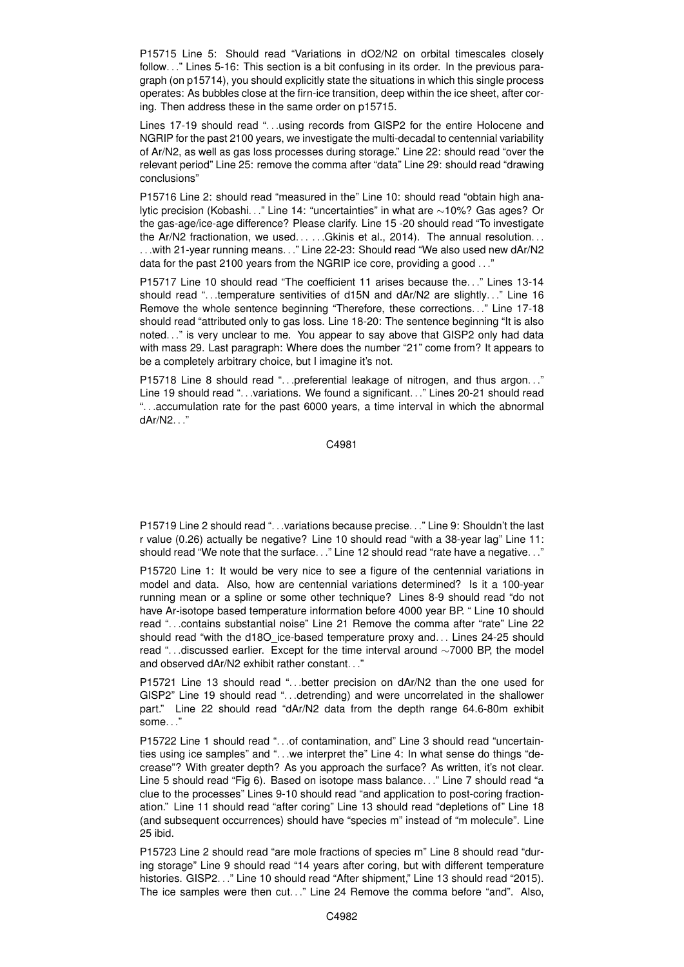P15715 Line 5: Should read "Variations in dO2/N2 on orbital timescales closely follow. . ." Lines 5-16: This section is a bit confusing in its order. In the previous paragraph (on p15714), you should explicitly state the situations in which this single process operates: As bubbles close at the firn-ice transition, deep within the ice sheet, after coring. Then address these in the same order on p15715.

Lines 17-19 should read ". . .using records from GISP2 for the entire Holocene and NGRIP for the past 2100 years, we investigate the multi-decadal to centennial variability of Ar/N2, as well as gas loss processes during storage." Line 22: should read "over the relevant period" Line 25: remove the comma after "data" Line 29: should read "drawing conclusions"

P15716 Line 2: should read "measured in the" Line 10: should read "obtain high analytic precision (Kobashi. . ." Line 14: "uncertainties" in what are ∼10%? Gas ages? Or the gas-age/ice-age difference? Please clarify. Line 15 -20 should read "To investigate the Ar/N2 fractionation, we used.....Gkinis et al., 2014). The annual resolution... . . .with 21-year running means. . ." Line 22-23: Should read "We also used new dAr/N2 data for the past 2100 years from the NGRIP ice core, providing a good . . ."

P15717 Line 10 should read "The coefficient 11 arises because the. . ." Lines 13-14 should read "...temperature sentivities of d15N and dAr/N2 are slightly..." Line 16 Remove the whole sentence beginning "Therefore, these corrections. . ." Line 17-18 should read "attributed only to gas loss. Line 18-20: The sentence beginning "It is also noted. . ." is very unclear to me. You appear to say above that GISP2 only had data with mass 29. Last paragraph: Where does the number "21" come from? It appears to be a completely arbitrary choice, but I imagine it's not.

P15718 Line 8 should read "...preferential leakage of nitrogen, and thus argon..." Line 19 should read "...variations. We found a significant..." Lines 20-21 should read ". . .accumulation rate for the past 6000 years, a time interval in which the abnormal dAr/N2. . ."

C4981

P15719 Line 2 should read "...variations because precise..." Line 9: Shouldn't the last r value (0.26) actually be negative? Line 10 should read "with a 38-year lag" Line 11: should read "We note that the surface..." Line 12 should read "rate have a negative..."

P15720 Line 1: It would be very nice to see a figure of the centennial variations in model and data. Also, how are centennial variations determined? Is it a 100-year running mean or a spline or some other technique? Lines 8-9 should read "do not have Ar-isotope based temperature information before 4000 year BP. " Line 10 should read ". . .contains substantial noise" Line 21 Remove the comma after "rate" Line 22 should read "with the d18O ice-based temperature proxy and... Lines 24-25 should read ". . .discussed earlier. Except for the time interval around ∼7000 BP, the model and observed dAr/N2 exhibit rather constant...

P15721 Line 13 should read ". . .better precision on dAr/N2 than the one used for GISP2" Line 19 should read ". . .detrending) and were uncorrelated in the shallower part." Line 22 should read "dAr/N2 data from the depth range 64.6-80m exhibit some. . ."

P15722 Line 1 should read ". . .of contamination, and" Line 3 should read "uncertainties using ice samples" and ". . .we interpret the" Line 4: In what sense do things "decrease"? With greater depth? As you approach the surface? As written, it's not clear. Line 5 should read "Fig 6). Based on isotope mass balance. . ." Line 7 should read "a clue to the processes" Lines 9-10 should read "and application to post-coring fractionation." Line 11 should read "after coring" Line 13 should read "depletions of" Line 18 (and subsequent occurrences) should have "species m" instead of "m molecule". Line 25 ibid.

P15723 Line 2 should read "are mole fractions of species m" Line 8 should read "during storage" Line 9 should read "14 years after coring, but with different temperature histories. GISP2. . ." Line 10 should read "After shipment," Line 13 should read "2015). The ice samples were then cut. . ." Line 24 Remove the comma before "and". Also,